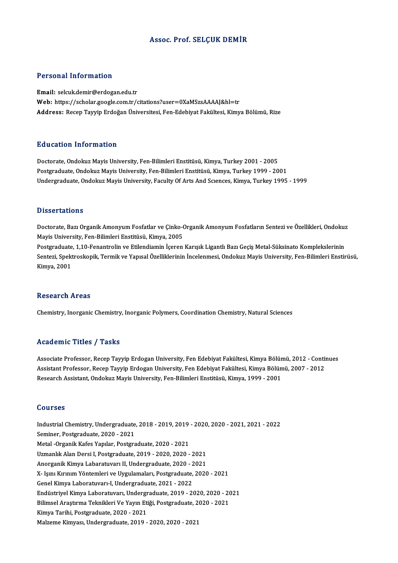# Assoc. Prof. SELÇUK DEMİR

## Personal Information

Email: selcuk.demir@erdogan.edu.tr Web: https://scholar.google.com.tr/citations?user=0XaMSzsAAAAJ&hl=tr Address: Recep Tayyip Erdoğan Üniversitesi, Fen-Edebiyat Fakültesi, Kimya Bölümü, Rize

### Education Information

Doctorate,OndokuzMayisUniversity,Fen-BilimleriEnstitüsü,Kimya,Turkey2001 -2005 Postgraduate, Ondokuz Mayis University, Fen-Bilimleri Enstitüsü, Kimya, Turkey 1999 - 2001 Undergraduate, Ondokuz Mayis University, Faculty Of Arts And Sciences, Kimya, Turkey 1995 - 1999

### **Dissertations**

Dissertations<br>Doctorate, Bazı Organik Amonyum Fosfatlar ve Çinko-Organik Amonyum Fosfatların Sentezi ve Özellikleri, Ondokuz<br>Mavis University, Fen Bilimleri Enstitüsü, Kimya, 2005 Mayis University, Fen-Bilimleri Enstitüsü, Kimya, 2005 Doctorate, Bazı Organik Amonyum Fosfatlar ve Çinko-Organik Amonyum Fosfatların Sentezi ve Özellikleri, Ondokuz<br>Mayis University, Fen-Bilimleri Enstitüsü, Kimya, 2005<br>Postgraduate, 1,10-Fenantrolin ve Etilendiamin İçeren Ka

Sentezi, Spektroskopik, Termik ve Yapısal Özelliklerinin İncelenmesi, Ondokuz Mayis University, Fen-Bilimleri Enstirüsü,<br>Kimya, 2001 Postgraduate, 1,10-Fenantrolin ve Etilendiamin İçeren Karışık Ligantlı Bazı Geçiş Metal-Süksinato Komplekslerinin

### **Research Areas**

Chemistry, Inorganic Chemistry, Inorganic Polymers, Coordination Chemistry, Natural Sciences

# Academic Titles / Tasks

Associate Professor, Recep Tayyip Erdogan University, Fen Edebiyat Fakültesi, Kimya Bölümü, 2012 - Continues Associate Professor, Recep Tayyip Erdogan University, Fen Edebiyat Fakültesi, Kimya Bölümü, 2012 - Contin<br>Assistant Professor, Recep Tayyip Erdogan University, Fen Edebiyat Fakültesi, Kimya Bölümü, 2007 - 2012<br>Researsh Ass Associate Professor, Recep Tayyip Erdogan University, Fen Edebiyat Fakültesi, Kimya Bölür<br>Assistant Professor, Recep Tayyip Erdogan University, Fen Edebiyat Fakültesi, Kimya Bölün<br>Research Assistant, Ondokuz Mayis Universi Research Assistant, Ondokuz Mayis University, Fen-Bilimleri Enstitüsü, Kimya, 1999 - 2001<br>Courses

Courses<br>Industrial Chemistry, Undergraduate, 2018 - 2019, 2019 - 2020, 2020 - 2021, 2021 - 2022<br>Seminer, Restareduate, 2020, 2021 Seminer, Postgraduate, 2020 - 2021<br>Metal -Organik Kafes Yapılar, Postgraduate, 2020 - 2021 Industrial Chemistry, Undergraduate, 2018 - 2019, 2019<br>Seminer, Postgraduate, 2020 - 2021<br>Metal -Organik Kafes Yapılar, Postgraduate, 2020 - 2021<br>Uzmanlık Alan Dergi I. Rostgraduate, 2019, 2020, 2020 UzmanlıkAlanDersi I,Postgraduate,2019 -2020,2020 -2021 Metal -Organik Kafes Yapılar, Postgraduate, 2020 - 2021<br>Uzmanlık Alan Dersi I, Postgraduate, 2019 - 2020, 2020 - 2021<br>Anorganik Kimya Labaratuvarı II, Undergraduate, 2020 - 2021<br>Y. Jemi Kimnim Vöntemleri ire Higulamaları, X- Işını Kırınım Yöntemleri ve Uygulamaları, Postgraduate, 2020 - 2021<br>Genel Kimya Laboratuvarı-I, Undergraduate, 2021 - 2022 Anorganik Kimya Labaratuvarı II, Undergraduate, 2020 - 2<br>X- Işını Kırınım Yöntemleri ve Uygulamaları, Postgraduate,<br>Genel Kimya Laboratuvarı-I, Undergraduate, 2021 - 2022<br>Endüstrivel Kimya Laboratuvarı, Undergraduate, 2019 X- Işını Kırınım Yöntemleri ve Uygulamaları, Postgraduate, 2020 - 2021<br>Genel Kimya Laboratuvarı-I, Undergraduate, 2021 - 2022<br>Endüstriyel Kimya Laboratuvarı, Undergraduate, 2019 - 2020, 2020 - 2021<br>Bilimeal Arastuma Talmil Genel Kimya Laboratuvarı-I, Undergraduate, 2021 - 2022<br>Endüstriyel Kimya Laboratuvarı, Undergraduate, 2019 - 2020, 2020 - 20<br>Bilimsel Araştırma Teknikleri Ve Yayın Etiği, Postgraduate, 2020 - 2021<br>Kimya Tarihi, Postgraduat Endüstriyel Kimya Laboratuvarı, Undergr<br>Bilimsel Araştırma Teknikleri Ve Yayın Eti<br>Kimya Tarihi, Postgraduate, 2020 - 2021<br>Malzama Kimyası, Undergraduate, 2019 Bilimsel Araştırma Teknikleri Ve Yayın Etiği, Postgraduate, 2020 - 2021<br>Kimya Tarihi, Postgraduate, 2020 - 2021<br>Malzeme Kimyası, Undergraduate, 2019 - 2020, 2020 - 2021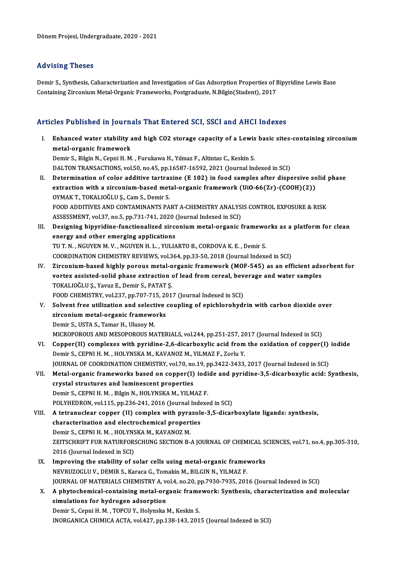# Advising Theses

Advising Theses<br>Demir S., Synthesis, Caharacterization and Investigation of Gas Adsorption Properties of Bipyridine Lewis Base<br>Containing Zirsonium Metal Organic Frameworks, Bostgraduate, N.Bilgin(Student), 2017 rea vionig Tirooco<br>Demir S., Synthesis, Caharacterization and Investigation of Gas Adsorption Properties of F<br>Containing Zirconium Metal-Organic Frameworks, Postgraduate, N.Bilgin(Student), 2017

# Containing Zirconium Metal-Organic Frameworks, Postgraduate, N.Bilgin(Student), 2017<br>Articles Published in Journals That Entered SCI, SSCI and AHCI Indexes

rticles Published in Journals That Entered SCI, SSCI and AHCI Indexes<br>I. Enhanced water stability and high CO2 storage capacity of a Lewis basic sites-containing zirconium<br>motel examic framework metal-organic framework<br>Enhanced water stability<br>metal-organic framework<br>Domin S. Bilgin M. Conni H. M Enhanced water stability and high CO2 storage capacity of a Lewis<br>metal-organic framework<br>Demir S., Bilgin N., Cepni H. M. , Furukawa H., Yılmaz F., Altintas C., Keskin S.<br>DALTON TRANSACTIONS vol 50 no 45 nn 16597 16592 20 metal-organic framework<br>Demir S., Bilgin N., Cepni H. M. , Furukawa H., Yılmaz F., Altintas C., Keskin S.<br>DALTON TRANSACTIONS, vol.50, no.45, pp.16587-16592, 2021 (Journal Indexed in SCI) Demir S., Bilgin N., Cepni H. M. , Furukawa H., Yılmaz F., Altintas C., Keskin S.<br>DALTON TRANSACTIONS, vol.50, no.45, pp.16587-16592, 2021 (Journal Indexed in SCI)<br>II. Determination of color additive tartrazine (E 102) in DALTON TRANSACTIONS, vol.50, no.45, pp.16587-16592, 2021 (Journal Indexed in SCI)<br>Determination of color additive tartrazine (E 102) in food samples after dispersive so<br>extraction with a zirconium-based metal-organic frame Determination of color additive tartra:<br>extraction with a zirconium-based met<br>OYMAK T., TOKALIOĞLU Ş., Cam S., Demir S.<br>EQQD ADDITIVES AND CONTAMINANTS BA extraction with a zirconium-based metal-organic framework (UiO-66(Zr)-(COOH)(2))<br>OYMAK T., TOKALIOĞLU Ş., Cam S., Demir S.<br>FOOD ADDITIVES AND CONTAMINANTS PART A-CHEMISTRY ANALYSIS CONTROL EXPOSURE & RISK<br>ASSESSMENT vol 37 OYMAK T., TOKALIOĞLU Ş., Cam S., Demir S.<br>FOOD ADDITIVES AND CONTAMINANTS PART A-CHEMISTRY ANALYS<br>ASSESSMENT, vol.37, no.5, pp.731-741, 2020 (Journal Indexed in SCI)<br>Dosigning binyridine functionalized gireenium matal exga FOOD ADDITIVES AND CONTAMINANTS PART A-CHEMISTRY ANALYSIS CONTROL EXPOSURE & RISK<br>ASSESSMENT, vol.37, no.5, pp.731-741, 2020 (Journal Indexed in SCI)<br>III. Designing bipyridine-functionalized zirconium metal-organic framewo ASSESSMENT, vol.37, no.5, pp.731-741, 2020 (Journal Indexed in SCI)<br>Designing bipyridine-functionalized zirconium metal-organic framewo<br>energy and other emerging applications<br>TU T. N., NGUYEN M. V., NGUYEN H. L., YULIARTO Designing bipyridine-functionalized zirconium metal-organic framewo<br>energy and other emerging applications<br>TUT.N. , NGUYEN M.V. , NGUYEN H. L. , YULIARTO B., CORDOVA K. E. , Demir S.<br>COOPDINATION CHEMISTRY REVIEWS, vol.264 COORDINATION CHEMISTRY REVIEWS, vol.364, pp.33-50, 2018 (Journal Indexed in SCI) TU T. N., NGUYEN M. V., NGUYEN H. L., YULIARTO B., CORDOVA K. E., Demir S.<br>COORDINATION CHEMISTRY REVIEWS, vol.364, pp.33-50, 2018 (Journal Indexed in SCI)<br>IV. Zirconium-based highly porous metal-organic framework (MOF-545 COORDINATION CHEMISTRY REVIEWS, vol.364, pp.33-50, 2018 (Journal Indexed in SCI)<br>Zirconium-based highly porous metal-organic framework (MOF-545) as an efficient ads<br>vortex assisted-solid phase extraction of lead from cerea Zirconium-based highly porous metal-o<br>vortex assisted-solid phase extraction<br>TOKALIOĞLU Ş., Yavuz E., Demir S., PATAT Ş.<br>FOOD CHEMISTRY val 227. pp.707.715.201. vortex assisted-solid phase extraction of lead from cereal, bev<br>TOKALIOĞLU Ş., Yavuz E., Demir S., PATAT Ş.<br>FOOD CHEMISTRY, vol.237, pp.707-715, 2017 (Journal Indexed in SCI)<br>Selvent free utilization and selective seupling TOKALIOĞLU Ş., Yavuz E., Demir S., PATAT Ş.<br>FOOD CHEMISTRY, vol.237, pp.707-715, 2017 (Journal Indexed in SCI)<br>V. Solvent free utilization and selective coupling of epichlorohydrin with carbon dioxide over<br>Fineonium motel FOOD CHEMISTRY, vol.237, pp.707-715, 20<br>Solvent free utilization and selective<br>zirconium metal-organic frameworks<br>Domin S. USTA S. Tamar H. Ulugay M Solvent free utilization and select<br>zirconium metal-organic framewo<br>Demir S., USTA S., Tamar H., Ulusoy M.<br>MICROPOROUS AND MESOPOROUS MA zirconium metal-organic frameworks<br>Demir S., USTA S., Tamar H., Ulusoy M.<br>MICROPOROUS AND MESOPOROUS MATERIALS, vol.244, pp.251-257, 2017 (Journal Indexed in SCI) Demir S., USTA S., Tamar H., Ulusoy M.<br>MICROPOROUS AND MESOPOROUS MATERIALS, vol.244, pp.251-257, 2017 (Journal Indexed in SCI)<br>VI. Copper(II) complexes with pyridine-2,6-dicarboxylic acid from the oxidation of copper(I) i Demir S., CEPNI H. M. , HOLYNSKA M., KAVANOZ M., YILMAZ F., Zorlu Y.<br>JOURNAL OF COORDINATION CHEMISTRY, vol.70, no.19, pp.3422-3433, 2017 (Journal Indexed in SCI) Copper(II) complexes with pyridine-2,6-dicarboxylic acid from the oxidation of copper(I)<br>Demir S., CEPNI H. M. , HOLYNSKA M., KAVANOZ M., YILMAZ F., Zorlu Y.<br>JOURNAL OF COORDINATION CHEMISTRY, vol.70, no.19, pp.3422-3433, Demir S., CEPNI H. M. , HOLYNSKA M., KAVANOZ M., YILMAZ F., Zorlu Y.<br>JOURNAL OF COORDINATION CHEMISTRY, vol.70, no.19, pp.3422-3433, 2017 (Journal Indexed in SCI)<br>VII. Metal-organic frameworks based on copper(I) iodide and crystal structures and luminescent properties<br>Demir S., CEPNI H. M., Bilgin N., HOLYNSKA M., YILMAZ F. Metal-organic frameworks based on copper(I) iodi<br>crystal structures and luminescent properties<br>Demir S., CEPNI H. M. , Bilgin N., HOLYNSKA M., YILMAZ F.<br>POLYHEDPON vol.115, np.226,241,2016 (Journal Indove POLYHEDRON, vol.115, pp.236-241, 2016 (Journal Indexed in SCI) Demir S., CEPNI H. M. , Bilgin N., HOLYNSKA M., YILMAZ F.<br>POLYHEDRON, vol.115, pp.236-241, 2016 (Journal Indexed in SCI)<br>VIII. A tetranuclear copper (II) complex with pyrazole-3,5-dicarboxylate ligands: synthesis,<br>characte POLYHEDRON, vol.115, pp.236-241, 2016 (Journal Inde<br>A tetranuclear copper (II) complex with pyrazole<br>characterization and electrochemical properties<br>Domin S. CEPNU H.M., HOUVNSYA M. KAVANOZ M. A tetranuclear copper (II) complex with pyra<br>characterization and electrochemical propert<br>Demir S., CEPNI H. M. , HOLYNSKA M., KAVANOZ M.<br>ZEITSCHRIET EUR NATUREORSCHING SECTION R characterization and electrochemical properties<br>Demir S., CEPNI H. M. , HOLYNSKA M., KAVANOZ M.<br>ZEITSCHRIFT FUR NATURFORSCHUNG SECTION B-A JOURNAL OF CHEMICAL SCIENCES, vol.71, no.4, pp.305-310,<br>2016 (Journal Indoved in SC Demir S., CEPNI H. M. , HOLYNS<br>ZEITSCHRIFT FUR NATURFOR:<br>2016 (Journal Indexed in SCI)<br>Improving the stability of a ZEITSCHRIFT FUR NATURFORSCHUNG SECTION B-A JOURNAL OF CHEMICAL S<br>2016 (Journal Indexed in SCI)<br>IX. Improving the stability of solar cells using metal-organic frameworks<br>NEVELIZOCLU V. DEMIE S. Karaga G. Tamakin M. BU GIN N 2016 (Journal Indexed in SCI)<br>IX. Improving the stability of solar cells using metal-organic frameworks<br>NEVRUZOGLU V., DEMIR S., Karaca G., Tomakin M., BILGIN N., YILMAZ F. JOURNAL OF MATERIALS CHEMISTRY A, vol.4, no.20, pp.7930-7935, 2016 (Journal Indexed in SCI) NEVRUZOGLU V., DEMIR S., Karaca G., Tomakin M., BILGIN N., YILMAZ F.<br>JOURNAL OF MATERIALS CHEMISTRY A, vol.4, no.20, pp.7930-7935, 2016 (Journal Indexed in SCI)<br>X. A phytochemical-containing metal-organic framework: Synthe simulations for hydrogen adsorption<br>Demir S., Cepni H. M., TOPCU Y., Holynska M., Keskin S. A phytochemical-containing metal-organic frame<br>simulations for hydrogen adsorption<br>Demir S., Cepni H. M. , TOPCU Y., Holynska M., Keskin S.<br>INOPCANICA CHIMICA ACTA, vol.427, np.129,142,201 INORGANICA CHIMICA ACTA, vol.427, pp.138-143, 2015 (Journal Indexed in SCI)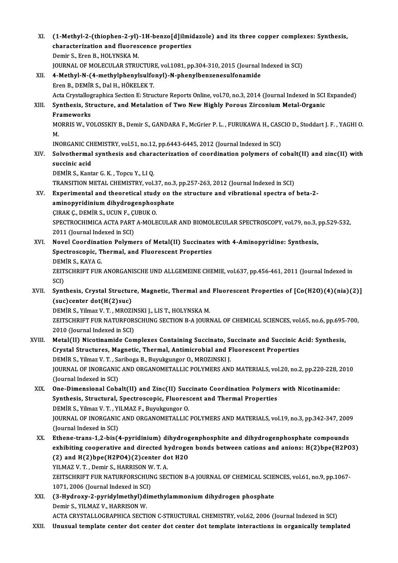| XI.    | (1-Methyl-2-(thiophen-2-yl)-1H-benzo[d]ilmidazole) and its three copper complexes: Synthesis,<br>characterization and fluorescence properties |
|--------|-----------------------------------------------------------------------------------------------------------------------------------------------|
|        | Demir S., Eren B., HOLYNSKA M.                                                                                                                |
|        | JOURNAL OF MOLECULAR STRUCTURE, vol.1081, pp.304-310, 2015 (Journal Indexed in SCI)                                                           |
| XII.   | 4-Methyl-N-(4-methylphenylsulfonyl)-N-phenylbenzenesulfonamide                                                                                |
|        | Eren B., DEMİR S., Dal H., HÖKELEK T.                                                                                                         |
|        | Acta Crystallographica Section E: Structure Reports Online, vol.70, no.3, 2014 (Journal Indexed in SCI Expanded)                              |
| XIII.  | Synthesis, Structure, and Metalation of Two New Highly Porous Zirconium Metal-Organic                                                         |
|        | Frameworks                                                                                                                                    |
|        | MORRIS W., VOLOSSKIY B., Demir S., GANDARA F., McGrier P. L., FURUKAWA H., CASCIO D., Stoddart J. F., YAGHI O.                                |
|        | M.                                                                                                                                            |
|        | INORGANIC CHEMISTRY, vol.51, no.12, pp.6443-6445, 2012 (Journal Indexed in SCI)                                                               |
| XIV.   | Solvothermal synthesis and characterization of coordination polymers of cobalt(II) and zinc(II) with                                          |
|        | succinic acid                                                                                                                                 |
|        | DEMIR S., Kantar G. K., Topcu Y., LI Q.                                                                                                       |
|        | TRANSITION METAL CHEMISTRY, vol.37, no.3, pp.257-263, 2012 (Journal Indexed in SCI)                                                           |
| XV.    | Experimental and theoretical study on the structure and vibrational spectra of beta-2-                                                        |
|        | aminopyridinium dihydrogenphosphate                                                                                                           |
|        | ÇIRAK Ç., DEMİR S., UCUN F., ÇUBUK O.                                                                                                         |
|        | SPECTROCHIMICA ACTA PART A-MOLECULAR AND BIOMOLECULAR SPECTROSCOPY, vol.79, no.3, pp.529-532,                                                 |
|        | 2011 (Journal Indexed in SCI)                                                                                                                 |
| XVI.   | Novel Coordination Polymers of Metal(II) Succinates with 4-Aminopyridine: Synthesis,                                                          |
|        | Spectroscopic, Thermal, and Fluorescent Properties<br>DEMIR S., KAYA G.                                                                       |
|        | ZEITSCHRIFT FUR ANORGANISCHE UND ALLGEMEINE CHEMIE, vol.637, pp.456-461, 2011 (Journal Indexed in                                             |
|        | SCI)                                                                                                                                          |
| XVII.  | Synthesis, Crystal Structure, Magnetic, Thermal and Fluorescent Properties of [Co(H2O)(4)(nia)(2)]                                            |
|        | (suc)center dot(H(2)suc)                                                                                                                      |
|        | DEMİR S., Yilmaz V. T., MROZINSKI J., LIS T., HOLYNSKA M.                                                                                     |
|        | ZEITSCHRIFT FUR NATURFORSCHUNG SECTION B-A JOURNAL OF CHEMICAL SCIENCES, vol.65, no.6, pp.695-700,                                            |
|        | 2010 (Journal Indexed in SCI)                                                                                                                 |
| XVIII. | Metal(II) Nicotinamide Complexes Containing Succinato, Succinate and Succinic Acid: Synthesis,                                                |
|        | Crystal Structures, Magnetic, Thermal, Antimicrobial and Fluorescent Properties                                                               |
|        | DEMİR S., Yilmaz V. T., Sariboga B., Buyukgungor O., MROZINSKI J.                                                                             |
|        | JOURNAL OF INORGANIC AND ORGANOMETALLIC POLYMERS AND MATERIALS, vol.20, no.2, pp.220-228, 2010                                                |
|        | (Journal Indexed in SCI)                                                                                                                      |
| XIX.   | One-Dimensional Cobalt(II) and Zinc(II) Succinato Coordination Polymers with Nicotinamide:                                                    |
|        | Synthesis, Structural, Spectroscopic, Fluorescent and Thermal Properties                                                                      |
|        | DEMIR S., Yilmaz V. T., YILMAZ F., Buyukgungor O.                                                                                             |
|        | JOURNAL OF INORGANIC AND ORGANOMETALLIC POLYMERS AND MATERIALS, vol.19, no.3, pp.342-347, 2009                                                |
| XX.    | (Journal Indexed in SCI)<br>Ethene-trans-1,2-bis(4-pyridinium) dihydrogenphosphite and dihydrogenphosphate compounds                          |
|        | exhibiting cooperative and directed hydrogen bonds between cations and anions: H(2)bpe(H2PO3)                                                 |
|        | (2) and H(2)bpe(H2PO4)(2)center dot H2O                                                                                                       |
|        | YILMAZ V. T., Demir S., HARRISON W. T. A.                                                                                                     |
|        | ZEITSCHRIFT FUR NATURFORSCHUNG SECTION B-A JOURNAL OF CHEMICAL SCIENCES, vol 61, no.9, pp.1067-                                               |
|        | 1071, 2006 (Journal Indexed in SCI)                                                                                                           |
| XXI.   | (3-Hydroxy-2-pyridylmethyl)dimethylammonium dihydrogen phosphate                                                                              |
|        | Demir S., YILMAZ V., HARRISON W.                                                                                                              |
|        | ACTA CRYSTALLOGRAPHICA SECTION C-STRUCTURAL CHEMISTRY, vol.62, 2006 (Journal Indexed in SCI)                                                  |
| XXII.  | Unusual template center dot center dot center dot template interactions in organically templated                                              |
|        |                                                                                                                                               |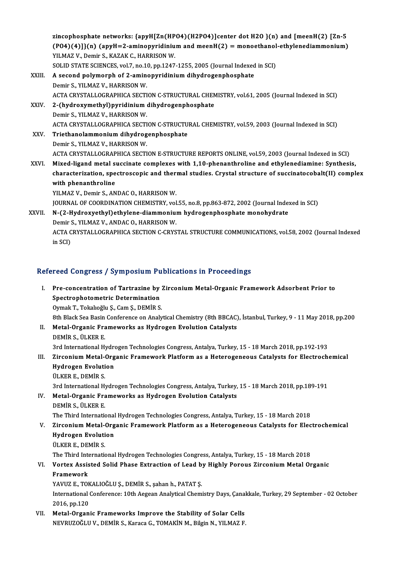zincophosphate networks: {apyH[Zn(HPO4)(H2PO4)]center dot H2O }(n) and [meenH(2) [Zn-5 zincophosphate networks: {apyH[Zn(HPO4)(H2PO4)]center dot H2O }(n) and [meenH(2) [Zn-5<br>(PO4)(4)]}(n) (apyH=2-aminopyridinium and meenH(2) = monoethanol-ethylenediammonium)<br>VU MAZ V. Demin S. KAZAKG, HARRISON W zincophosphate networks: {apyH[Zn(HP<br>(PO4)(4)]}(n) (apyH=2-aminopyridiniu<br>YILMAZ V., Demir S., KAZAK C., HARRISON W.<br>SOLID STATE SCIENCES vol 7, no 10, np 1247 (PO4)(4)]}(n) (apyH=2-aminopyridinium and meenH(2) = monoethanol-ethylenediammonium)<br>YILMAZ V., Demir S., KAZAK C., HARRISON W.<br>SOLID STATE SCIENCES, vol.7, no.10, pp.1247-1255, 2005 (Journal Indexed in SCI)<br>A second poly YILMAZ V., Demir S., KAZAK C., HARRISON W.<br>SOLID STATE SCIENCES, vol.7, no.10, pp.1247-1255, 2005 (Journal Indexed<br>XXIII. A second polymorph of 2-aminopyridinium dihydrogenphosphate<br>Domir S. VILMAZ V. HARRISON W. SOLID STATE SCIENCES, vol.7, no.1<sup>1</sup><br>A second polymorph of 2-amin<br>Demir S., YILMAZ V., HARRISON W.<br>ACTA CPYSTALLOCPAPHICA SECTI A second polymorph of 2-aminopyridinium dihydrogenphosphate<br>Demir S., YILMAZ V., HARRISON W.<br>ACTA CRYSTALLOGRAPHICA SECTION C-STRUCTURAL CHEMISTRY, vol.61, 2005 (Journal Indexed in SCI)<br>2. (bydroxymothyl)pyridinium dibydro Demir S., YILMAZ V., HARRISON W.<br>ACTA CRYSTALLOGRAPHICA SECTION C-STRUCTURAL CHEN<br>XXIV. 2-(hydroxymethyl)pyridinium dihydrogenphosphate<br>Demir S., YILMAZ V., HARRISON W. ACTA CRYSTALLOGRAPHICA SECTI<br>2-(hydroxymethyl)pyridinium<br>Demir S., YILMAZ V., HARRISON W.<br>ACTA CRYSTALLOGRAPHICA SECTI 2-(hydroxymethyl)pyridinium dihydrogenphosphate<br>Demir S., YILMAZ V., HARRISON W.<br>ACTA CRYSTALLOGRAPHICA SECTION C-STRUCTURAL CHEMISTRY, vol.59, 2003 (Journal Indexed in SCI)<br>Tristhanolammonium dihydrogenphosphate Demir S., YILMAZ V., HARRISON W.<br>ACTA CRYSTALLOGRAPHICA SECTION C-STRUCTU<br>XXV. Triethanolammonium dihydrogenphosphate<br>Demir S. VILMAZ V. HARRISON W. ACTA CRYSTALLOGRAPHICA SECTI<br>Triethanolammonium dihydrog<br>Demir S., YILMAZ V., HARRISON W.<br>ACTA CRYSTALLOCRARUICA SECTI Triethanolammonium dihydrogenphosphate<br>Demir S., YILMAZ V., HARRISON W.<br>ACTA CRYSTALLOGRAPHICA SECTION E-STRUCTURE REPORTS ONLINE, vol.59, 2003 (Journal Indexed in SCI) Demir S., YILMAZ V., HARRISON W.<br>ACTA CRYSTALLOGRAPHICA SECTION E-STRUCTURE REPORTS ONLINE, vol.59, 2003 (Journal Indexed in SCI)<br>XXVI. Mixed-ligand metal succinate complexes with 1,10-phenanthroline and ethylenediamine: S ACTA CRYSTALLOGRAPHICA SECTION E-STRUCTURE REPORTS ONLINE, vol.59, 2003 (Journal Indexed in SCI)<br>Mixed-ligand metal succinate complexes with 1,10-phenanthroline and ethylenediamine: Synthesis,<br>characterization, spectroscop Mixed-ligand metal s<br>characterization, spe<br>with phenanthroline<br><sup>VII M47 V.</sup> Demir S. AN characterization, spectroscopic and thermal studies. Crystal structure of succinatocobalt(II) complex with phenanthroline<br>WILMAZ V., Demir S., ANDAC O., HARRISON W. JOURNAL OF COORDINATION CHEMISTRY, vol.55, no.8, pp.863-872, 2002 (Journal Indexed in SCI) YILMAZ V., Demir S., ANDAC O., HARRISON W.<br>JOURNAL OF COORDINATION CHEMISTRY, vol.55, no.8, pp.863-872, 2002 (Journal Index<br>XXVII. N-(2-Hydroxyethyl)ethylene-diammonium hydrogenphosphate monohydrate **JOURNAL OF COORDINATION CHEMISTRY, vol<br>N-(2-Hydroxyethyl)ethylene-diammonium**<br>Demir S., YILMAZ V., ANDAC O., HARRISON W.<br>ACTA CRYSTALLOCRARHICA SECTION C.CRYS ACTA CRYSTALLOGRAPHICA SECTION C-CRYSTAL STRUCTURE COMMUNICATIONS, vol.58, 2002 (Journal Indexed<br>in SCI) Demir S., YILMAZ V., ANDAC O., HARRISON W.

# Refereed Congress / Symposium Publications in Proceedings

efereed Congress / Symposium Publications in Proceedings<br>I. Pre-concentration of Tartrazine by Zirconium Metal-Organic Framework Adsorbent Prior to<br>Spectrophotometric Determination Spectrophotometric Determination<br>Spectrophotometric Determination<br>Oumek T. Teksheëh: S. Cam S. DEMID S. Pre-concentration of Tartrazine by :<br>Spectrophotometric Determination<br>Oymak T., Tokalıoğlu Ş., Cam Ş., DEMİR S.<br><sup>Oth Plack See Besin Conference on Analy</sub></sup> Spectrophotometric Determination<br>Oymak T., Tokalıoğlu Ş., Cam Ş., DEMİR S.<br>8th Black Sea Basin Conference on Analytical Chemistry (8th BBCAC), İstanbul, Turkey, 9 - 11 May 2018, pp.200<br>Metal Organia Enamewarka as Hydrogan Oymak T., Tokalıoğlu Ş., Cam Ş., DEMİR S.<br>8th Black Sea Basin Conference on Analytical Chemistry (8th BBCAC)<br>II. Metal-Organic Frameworks as Hydrogen Evolution Catalysts<br>DEMİR S. ÜLKER E 8th Black Sea Basin<br>Metal-Organic Fra<br>DEMİR S., ÜLKER E.<br><sup>2nd Intornational H</sub>.</sup> II. Metal-Organic Frameworks as Hydrogen Evolution Catalysts<br>DEMİR S., ÜLKER E.<br>3rd International Hydrogen Technologies Congress, Antalya, Turkey, 15 - 18 March 2018, pp.192-193

DEMİR S., ÜLKER E.<br>3rd International Hydrogen Technologies Congress, Antalya, Turkey, 15 - 18 March 2018, pp.192-193<br>III. Zirconium Metal-Organic Framework Platform as a Heterogeneous Catalysts for Electrochemical<br>Hydrogen 3rd International Hydro<br>Zirconium Metal-Org<br>Hydrogen Evolution<br><sup>ULVED E. DEMID S</sub></sup> Zirconium Metal-<br>Hydrogen Evoluti<br>ÜLKER E., DEMİR S.<br><sup>2rd Intornational H</sub></sup> Hydrogen Evolution<br>ÜLKER E., DEMİR S.<br>3rd International Hydrogen Technologies Congress, Antalya, Turkey, 15 - 18 March 2018, pp.189-191

ULKER E., DEMIR S.<br>3rd International Hydrogen Technologies Congress, Antalya, Turkey,<br>IV. Metal-Organic Frameworks as Hydrogen Evolution Catalysts<br>DEMIR S. JU KER E 3rd International Hy<br>Metal-Organic Fra<br>DEMİR S., ÜLKER E.<br>The Third Internati DEMİR S., ÜLKER E.<br>The Third International Hydrogen Technologies Congress, Antalya, Turkey, 15 - 18 March 2018

DEMIR S., ÜLKER E.<br>The Third International Hydrogen Technologies Congress, Antalya, Turkey, 15 - 18 March 2018<br>V. Zirconium Metal-Organic Framework Platform as a Heterogeneous Catalysts for Electrochemical<br>Hydrogen Evo The Third International<br>Zirconium Metal-Org<br>Hydrogen Evolution<br><sup>Th VED E. DEMIP S</sub></sup> Zirconium Metal-<br>Hydrogen Evoluti<br>ÜLKER E., DEMİR S.<br>The Third Internati Hydrogen Evolution<br>ÜLKER E., DEMİR S.<br>The Third International Hydrogen Technologies Congress, Antalya, Turkey, 15 - 18 March 2018<br>Vertey, Assisted Solid Phase Extraction of Lead by Highly Pereus Zirsenium Metal Or

ÜLKER E., DEMİR S.<br>The Third International Hydrogen Technologies Congress, Antalya, Turkey, 15 - 18 March 2018<br>VI. Vortex Assisted Solid Phase Extraction of Lead by Highly Porous Zirconium Metal Organic<br>Framewark The Third Inte<br>Vortex Assis<br>Framework<br>VAVUZ E TOP Vortex Assisted Solid Phase Extraction of Lead b<br>Framework<br>YAVUZ E., TOKALIOĞLU Ş., DEMİR S., şahan h., PATAT Ş.<br>International Conference: 10th Aegean Analytical Chemi

YAVUZ E., TOKALIOĞLU Ş., DEMİR S., şahan h., PATAT Ş.

Framework<br>YAVUZ E., TOKALIOĞLU Ş., DEMİR S., şahan h., PATAT Ş.<br>International Conference: 10th Aegean Analytical Chemistry Days, Çanakkale, Turkey, 29 September - 02 October<br>2016, pp.120

VII. Metal-Organic Frameworks Improve the Stability of Solar Cells NEVRUZOĞLUV.,DEMİRS.,KaracaG.,TOMAKİNM.,BilginN.,YILMAZ F.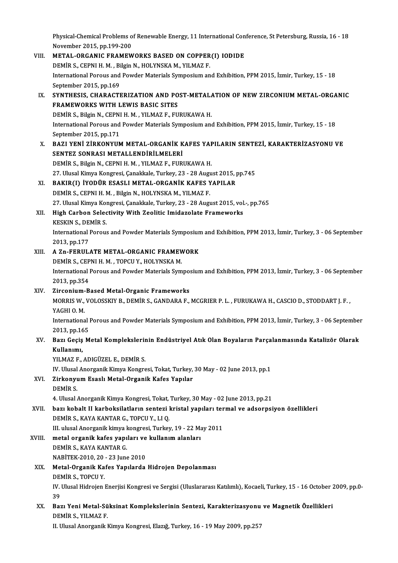Physical-Chemical Problems of Renewable Energy, 11 International Conference, St Petersburg, Russia, 16 - 18<br>Navember 2015, pp.199,200 Physical-Chemical Problems o<br>November 2015, pp.199-200<br>METAL, OPCANIC EPAMEW

Physical-Chemical Problems of Renewable Energy, 11 International Con<br>November 2015, pp.199-200<br>VIII. METAL-ORGANIC FRAMEWORKS BASED ON COPPER(I) IODIDE<br>DEMID S. CEDNI H.M. Bilgin N. HOLYNSKA M. VILMAZ E November 2015, pp.199-200<br>METAL-ORGANIC FRAMEWORKS BASED ON COPPER(I) IODIDE International Porous and Powder Materials Symposium and Exhibition, PPM 2015, İzmir, Turkey, 15 - 18<br>September 2015, pp.169 DEMİR S., CEPNI H. M., Bilgin N., HOLYNSKA M., YILMAZ F. International Porous and Powder Materials Symposium and Exhibition, PPM 2015, İzmir, Turkey, 15 - 18<br>September 2015, pp.169<br>IX. SYNTHESIS, CHARACTERIZATION AND POST-METALATION OF NEW ZIRCONIUM METAL-ORGANIC September 2015, pp.169<br>SYNTHESIS, CHARACTERIZATION AND PO<br>FRAMEWORKS WITH LEWIS BASIC SITES<br>DEMIR S. Bikin N. CERNI H. M. VII MAZ E. EU SYNTHESIS, CHARACTERIZATION AND POST-METAL/<br>FRAMEWORKS WITH LEWIS BASIC SITES<br>DEMİR S., Bilgin N., CEPNI H. M. , YILMAZ F., FURUKAWA H.<br>International Borous and Boudor Materials Sumnesium and FRAMEWORKS WITH LEWIS BASIC SITES<br>DEMİR S., Bilgin N., CEPNI H. M. , YILMAZ F., FURUKAWA H.<br>International Porous and Powder Materials Symposium and Exhibition, PPM 2015, İzmir, Turkey, 15 - 18<br>Sentember 2015, nn 171 **DEMIR S., Bilgin N., CEPNI**<br>International Porous and<br>September 2015, pp.171<br>PAZI VENI ZIPKONVIIA International Porous and Powder Materials Symposium and Exhibition, PPM 2015, İzmir, Turkey, 15 - 18<br>September 2015, pp.171<br>X. BAZI YENİ ZİRKONYUM METAL-ORGANİK KAFES YAPILARIN SENTEZİ, KARAKTERİZASYONU VE<br>SENTEZ SONPASI M September 2015, pp.171<br>X. BAZI YENİ ZİRKONYUM METAL-ORGANİK KAFES YAPILARIN SENTEZİ, KARAKTERİZASYONU VE<br>SENTEZ SONRASI METALLENDİRİLMELERİ DEMİR S., Bilgin N., CEPNI H. M., YILMAZ F., FURUKAWA H. SENTEZ SONRASI METALLENDİRİLMELERİ<br>DEMİR S., Bilgin N., CEPNI H. M. , YILMAZ F., FURUKAWA H.<br>27. Ulusal Kimya Kongresi, Çanakkale, Turkey, 23 - 28 August 2015, pp.745<br>BAKIR(I), İVODÜR ESASI I METAL, ORÇANİK KAEES YARILAR DEMİR S., Bilgin N., CEPNI H. M. , YILMAZ F., FURUKAWA H.<br>27. Ulusal Kimya Kongresi, Çanakkale, Turkey, 23 - 28 August 2015, <sub>I</sub><br>XI. BAKIR(I) İYODÜR ESASLI METAL-ORGANİK KAFES YAPILAR<br>DEMİR S. CEPNI H. M., Bilgin N. HOLYNS 27. Ulusal Kimya Kongresi, Çanakkale, Turkey, 23 - 28 Augu<br>BAKIR(I) İYODÜR ESASLI METAL-ORGANİK KAFES Y<br>DEMİR S., CEPNI H. M. , Bilgin N., HOLYNSKA M., YILMAZ F.<br>27. Ulusal Kimya Kongresi, Çanakkala Turkay, 22., 28 Augu BAKIR(I) İYODÜR ESASLI METAL-ORGANİK KAFES YAPILAR<br>DEMİR S., CEPNI H. M. , Bilgin N., HOLYNSKA M., YILMAZ F.<br>27. Ulusal Kimya Kongresi, Çanakkale, Turkey, 23 - 28 August 2015, vol.-, pp.765<br>High Carbon Selectivity With Zee DEMIR S., CEPNI H. M. , Bilgin N., HOLYNSKA M., YILMAZ F.<br>27. Ulusal Kimya Kongresi, Çanakkale, Turkey, 23 - 28 August 2015, vol<br>XII. High Carbon Selectivity With Zeolitic Imidazolate Frameworks 27. Ulusal Kimya Kor<br>High Carbon Selec<br>KESKIN S., DEMİR S.<br>International Berew International Porous and Powder Materials Symposium and Exhibition, PPM 2013, İzmir, Turkey, 3 - 06 September<br>2013, pp.177 KESKIN S., DEMİR S. International Porous and Powder Materials Symposium<br>2013, pp.177<br>XIII. A Zn-FERULATE METAL-ORGANIC FRAMEWORK<br>DEMIP S. CEPNI H M. TOPCU V. HOLYNSKA M 2013, pp.177<br>A Zn-FERULATE METAL-ORGANIC FRAMEV<br>DEMİR S., CEPNI H. M. , TOPCU Y., HOLYNSKA M.<br>International Bereus and Beuder Materials Sum International Porous and Powder Materials Symposium and Exhibition, PPM 2013, İzmir, Turkey, 3 - 06 September<br>2013, pp.354 DEMIR S., CEPNI H. M., TOPCU Y., HOLYNSKA M. International Porous and Powder Materials Sympo:<br>2013, pp.354<br>XIV. Zirconium-Based Metal-Organic Frameworks<br>MORRIS W. VOLOSSEVY P. DEMIR S. CANDARA E MORRIS W., VOLOSSKIY B., DEMİR S., GANDARA F., MCGRIER P. L. , FURUKAWA H., CASCIO D., STODDART J. F. ,<br>YAGHI O. M. Zirconium-<br>MORRIS W.,<br>YAGHI O. M.<br>Internations MORRIS W., VOLOSSKIY B., DEMİR S., GANDARA F., MCGRIER P. L. , FURUKAWA H., CASCIO D., STODDART J. F. ,<br>YAGHI O. M.<br>International Porous and Powder Materials Symposium and Exhibition, PPM 2013, İzmir, Turkey, 3 - 06 Septem YAGHI O. M.<br>International l<br>2013, pp.165<br>Paz: Cosis M International Porous and Powder Materials Symposium and Exhibition, PPM 2013, İzmir, Turkey, 3 - 06 September<br>2013, pp.165<br>XV. Bazı Geçiş Metal Komplekslerinin Endüstriyel Atık Olan Boyaların Parçalanmasında Katalizör Olar 2013, pp.16<br>Bazı Geçiş<br>Kullanımı,<br><sup>VU MAZ E</sup> Bazı Geçiş Metal Komplekslerir<br>Kullanımı,<br>YILMAZ F., ADIGÜZEL E., DEMİR S.<br>W. Ulucal Ananzanik Kimua Kanzus Kullanımı,<br>YILMAZ F., ADIGÜZEL E., DEMİR S.<br>IV. Ulusal Anorganik Kimya Kongresi, Tokat, Turkey, 30 May - 02 June 2013, pp.1<br>Zirkonyum Essel: Metal Organik Kafes Yanılar YILMAZ F., ADIGÜZEL E., DEMİR S.<br>IV. Ulusal Anorganik Kimya Kongresi, Tokat, Turkey,<br>XVI. Zirkonyum Esaslı Metal-Organik Kafes Yapılar<br>DEMİR S. IV. Ulusal<br>Zirkonyu<br>DEMİR S.<br>4. Ulusal Zirkonyum Esaslı Metal-Organik Kafes Yapılar<br>DEMİR S.<br>4. Ulusal Anorganik Kimya Kongresi, Tokat, Turkey, 30 May - 02 June 2013, pp.21<br>bazı kohalt II karbaksilatların santari kristal yapıları tarmal ve adsarnsi XVII. bazı kobalt II karboksilatların sentezi kristal yapıları termal ve adsorpsiyon özellikleri<br>DEMİR S., KAYA KANTAR G., TOPCU Y., LI Q. 4. Ulusal Anorganik Kimya Kongresi, Tokat,<br>bazı kobalt II karboksilatların sentezi l<br>DEMİR S., KAYA KANTAR G., TOPCU Y., LI Q.<br>III ulusal Anorganik kimya kongresi Turkot III. ulusal Anorganik kimya kongresi, Turkey, 19 - 22 May 2011 DEMİR S., KAYA KANTAR G., TOPCU Y., LI Q.<br>III. ulusal Anorganik kimya kongresi, Turkey, 19 - 22 Ma<br>XVIII. metal organik kafes yapıları ve kullanım alanları<br>DEMİR S. KAYA KANTAR C III. ulusal Anorganik kimya l<br><mark>metal organik kafes yapı</mark><br>DEMİR S., KAYA KANTAR G.<br>MARİTEK 2010-20--22 lung metal organik kafes yapıları ve<br>DEMİR S., KAYA KANTAR G.<br>NABİTEK-2010, 20 - 23 June 2010<br>Matal Organik Kafes Yapılarda DEMİR S., KAYA KANTAR G.<br>NABİTEK-2010, 20 - 23 June 2010<br>XIX. Metal-Organik Kafes Yapılarda Hidrojen Depolanması<br>DEMİR S., TOPCU Y. NABİTEK-2010, 20 - 23 June 2010 Metal-Organik Kafes Yapılarda Hidrojen Depolanması<br>DEMİR S., TOPCU Y.<br>IV. Ulusal Hidrojen Enerjisi Kongresi ve Sergisi (Uluslararası Katılımlı), Kocaeli, Turkey, 15 - 16 October 2009, pp.0-<br>20. DEI<br>IV<br>39<br>Per IV. Ulusal Hidrojen Enerjisi Kongresi ve Sergisi (Uluslararası Katılımlı), Kocaeli, Turkey, 15 - 16 October 2<br>39<br>XX. Bazı Yeni Metal-Süksinat Komplekslerinin Sentezi, Karakterizasyonu ve Magnetik Özellikleri<br>DEMİR S. VII M 39<br>Bazı Yeni Metal-Sü<br>DEMİR S., YILMAZ F.<br>H. Hlusel Anergenik I DEMİR S., YILMAZ F.<br>II. Ulusal Anorganik Kimya Kongresi, Elazığ, Turkey, 16 - 19 May 2009, pp.257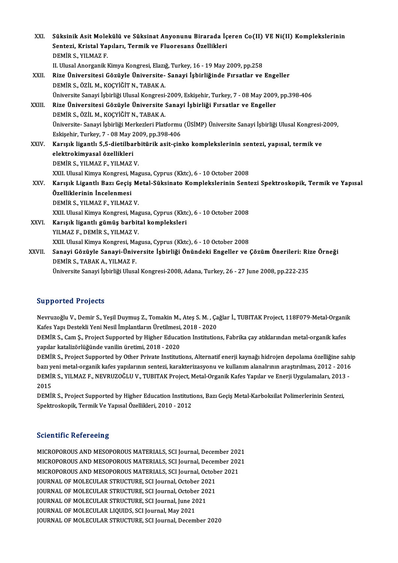| XXI.   | Süksinik Asit Molekülü ve Süksinat Anyonunu Birarada İçeren Co(II) VE Ni(II) Komplekslerinin                |
|--------|-------------------------------------------------------------------------------------------------------------|
|        | Sentezi, Kristal Yapıları, Termik ve Fluoresans Özellikleri                                                 |
|        | DEMIR S., YILMAZ F.                                                                                         |
|        | II. Ulusal Anorganik Kimya Kongresi, Elazığ, Turkey, 16 - 19 May 2009, pp.258                               |
| XXII.  | Rize Üniversitesi Gözüyle Üniversite- Sanayi İşbirliğinde Fırsatlar ve Engeller                             |
|        | DEMİR S., ÖZİL M., KOÇYİĞİT N., TABAK A.                                                                    |
|        | Üniversite Sanayi İşbirliği Ulusal Kongresi-2009, Eskişehir, Turkey, 7 - 08 May 2009, pp.398-406            |
| XXIII. | Rize Üniversitesi Gözüyle Üniversite Sanayi İşbirliği Fırsatlar ve Engeller                                 |
|        | DEMİR S., ÖZİL M., KOÇYİĞİT N., TABAK A.                                                                    |
|        | Üniversite- Sanayi İşbirliği Merkezleri Platformu (ÜSİMP) Üniversite Sanayi İşbirliği Ulusal Kongresi-2009, |
|        | Eskişehir, Turkey, 7 - 08 May 2009, pp 398-406                                                              |
| XXIV.  | Karışık ligantlı 5,5-dietilbarbitürik asit-çinko komplekslerinin sentezi, yapısal, termik ve                |
|        | elektrokimyasal özellikleri                                                                                 |
|        | DEMIR S., YILMAZ F., YILMAZ V.                                                                              |
|        | XXII. Ulusal Kimya Kongresi, Magusa, Cyprus (Kktc), 6 - 10 October 2008                                     |
| XXV    | Karışık Ligantlı Bazı Geçiş Metal-Süksinato Komplekslerinin Sentezi Spektroskopik, Termik ve Yapısal        |
|        | Özelliklerinin İncelenmesi                                                                                  |
|        | DEMIR S., YILMAZ F., YILMAZ V.                                                                              |
|        | XXII. Ulusal Kimya Kongresi, Magusa, Cyprus (Kktc), 6 - 10 October 2008                                     |
| XXVI.  | Karışık ligantlı gümüş barbital kompleksleri                                                                |
|        | YILMAZ F., DEMIR S., YILMAZ V.                                                                              |
|        | XXII. Ulusal Kimya Kongresi, Magusa, Cyprus (Kktc), 6 - 10 October 2008                                     |
| XXVII. | Sanayi Gözüyle Sanayi-Üniversite İşbirliği Önündeki Engeller ve Çözüm Önerileri: Rize Örneği                |
|        | DEMIR S., TABAK A., YILMAZ F.                                                                               |
|        | Üniversite Sanayi İşbirliği Ulusal Kongresi-2008, Adana, Turkey, 26 - 27 June 2008, pp.222-235              |

# Supported Projects

Supported Projects<br>Nevruzoğlu V., Demir S., Yeşil Duymuş Z., Tomakin M., Ateş S. M. , Çağlar İ., TUBITAK Project, 118F079-Metal-Organik<br>Kafeş Yanı Destakli Yani Nesil İmplantların Ünstilmesi, 2018, 2020 Supporteu Trojects<br>Nevruzoğlu V., Demir S., Yeşil Duymuş Z., Tomakin M., Ateş S. M. , Ça<br>Kafes Yapı Destekli Yeni Nesil İmplantların Üretilmesi, 2018 - 2020<br>DEMİR S. Cam S. Project Supported by Higher Education Institution Nevruzoğlu V., Demir S., Yeşil Duymuş Z., Tomakin M., Ateş S. M. , Çağlar İ., TUBITAK Project, 118F079-Metal-Organil<br>Kafes Yapı Destekli Yeni Nesil İmplantların Üretilmesi, 2018 - 2020<br>DEMİR S., Cam Ş., Project Supported b

Kafes Yapı Destekli Yeni Nesil İmplantların Üretilmesi, 2018 - 2020<br>DEMİR S., Cam Ş., Project Supported by Higher Education Institutions, Fabrika çay atıklarından metal-organik kafes<br>yapılar katalizörlüğünde vanilin üretim DEMİR S., Cam Ş., Project Supported by Higher Education Institutions, Fabrika çay atıklarından metal-organik kafes<br>yapılar katalizörlüğünde vanilin üretimi, 2018 - 2020<br>DEMİR S., Project Supported by Other Private Institut

yapılar katalizörlüğünde vanilin üretimi, 2018 - 2020<br>DEMİR S., Project Supported by Other Private Institutions, Alternatif enerji kaynağı hidrojen depolama özelliğine sahij<br>bazı yeni metal-organik kafes yapılarının sentez DEMİR S., Project Supported by Other Private Institutions, Alternatif enerji kaynağı hidrojen depolama özelliğine sah<br>bazı yeni metal-organik kafes yapılarının sentezi, karakterizasyonu ve kullanım alanalrının araştırılmas bazı y<mark>ı</mark><br>DEMİl<br>2015<br>DEMİl DEMİR S., YILMAZ F., NEVRUZOĞLU V., TUBITAK Project, Metal-Organik Kafes Yapılar ve Enerji Uygulamaları, 2013<br>2015<br>DEMİR S., Project Supported by Higher Education Institutions, Bazı Geçiş Metal-Karboksilat Polimerlerinin S

2015<br>DEMİR S., Project Supported by Higher Education Institutions, Bazı Geçiş Metal-Karboksilat Polimerlerinin Sentezi,<br>Spektroskopik, Termik Ve Yapısal Özellikleri, 2010 - 2012

# **Scientific Refereeing**

Scientific Refereeing<br>MICROPOROUS AND MESOPOROUS MATERIALS, SCI Journal, December 2021<br>MICROPOROUS AND MESOPOROUS MATERIALS, SCI Journal December 2021 BECHEITE RETERENTIE<br>MICROPOROUS AND MESOPOROUS MATERIALS, SCI Journal, December 2021<br>MICROPOROUS AND MESOPOROUS MATERIALS, SCI Journal, December 2021<br>MICROPOROUS AND MESOPOROUS MATERIALS, SCI Journal, October 2021 MICROPOROUS AND MESOPOROUS MATERIALS, SCI Journal, December 202<br>MICROPOROUS AND MESOPOROUS MATERIALS, SCI Journal, December 202<br>MICROPOROUS AND MESOPOROUS MATERIALS, SCI Journal, October 2021<br>JOURNAL OF MOLECIU AR STRUCTUR MICROPOROUS AND MESOPOROUS MATERIALS, SCI Journal, Decen<br>MICROPOROUS AND MESOPOROUS MATERIALS, SCI Journal, Octobe<br>JOURNAL OF MOLECULAR STRUCTURE, SCI Journal, October 2021<br>JOURNAL OF MOLECULAR STRUCTURE, SCI Journal Octob MICROPOROUS AND MESOPOROUS MATERIALS, SCI Journal, Octobert<br>JOURNAL OF MOLECULAR STRUCTURE, SCI Journal, October 2021<br>JOURNAL OF MOLECULAR STRUCTURE, SCI Journal, October 2021<br>JOURNAL OF MOLECULAR STRUCTURE, SCI Journal Ju JOURNAL OF MOLECULAR STRUCTURE, SCI Journal, October 20<br>JOURNAL OF MOLECULAR STRUCTURE, SCI Journal, October 20<br>JOURNAL OF MOLECULAR STRUCTURE, SCI Journal, June 2021<br>JOURNAL OF MOLECULAR LIQUIDS, SCI Journal May 2021 JOURNAL OF MOLECULAR STRUCTURE, SCI Journal, Octobe<br>JOURNAL OF MOLECULAR STRUCTURE, SCI Journal, June 20<br>JOURNAL OF MOLECULAR LIQUIDS, SCI Journal, May 2021<br>JOURNAL OF MOLECULAR STRUCTURE, SCI Journal Desemi JOURNAL OF MOLECULAR STRUCTURE, SCI Journal, June 2021<br>JOURNAL OF MOLECULAR LIQUIDS, SCI Journal, May 2021<br>JOURNAL OF MOLECULAR STRUCTURE, SCI Journal, December 2020